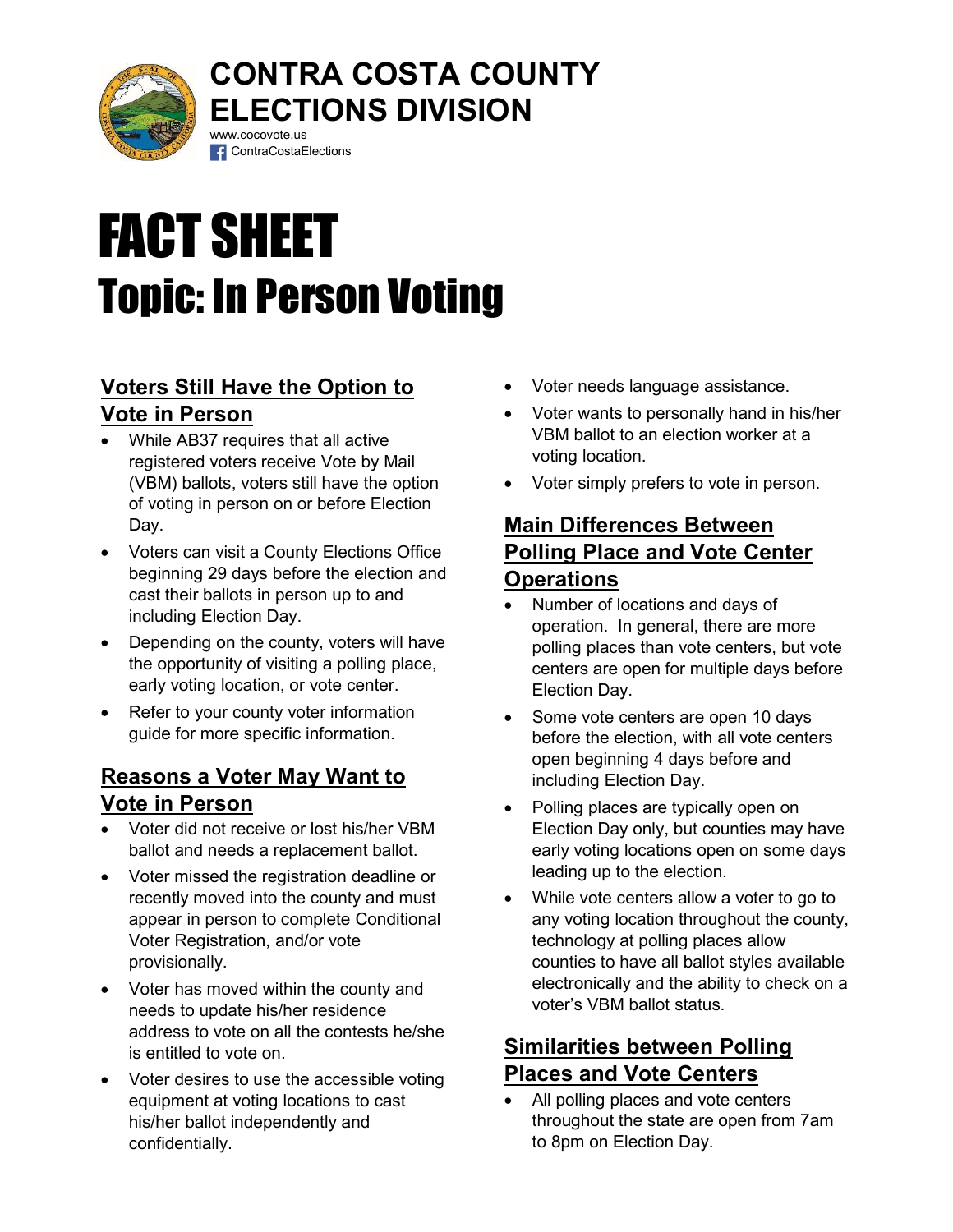

## CONTRA COSTA COUNTY ELECTIONS DIVISION www.cocovote.us

# FACT SHEET Topic: In Person Voting

**f** ContraCostaElections

## Voters Still Have the Option to Vote in Person

- While AB37 requires that all active registered voters receive Vote by Mail (VBM) ballots, voters still have the option of voting in person on or before Election Day.
- Voters can visit a County Elections Office beginning 29 days before the election and cast their ballots in person up to and including Election Day.
- Depending on the county, voters will have the opportunity of visiting a polling place, early voting location, or vote center.
- Refer to your county voter information guide for more specific information.

#### Reasons a Voter May Want to Vote in Person

- Voter did not receive or lost his/her VBM ballot and needs a replacement ballot.
- Voter missed the registration deadline or recently moved into the county and must appear in person to complete Conditional Voter Registration, and/or vote provisionally.
- Voter has moved within the county and needs to update his/her residence address to vote on all the contests he/she is entitled to vote on.
- Voter desires to use the accessible voting equipment at voting locations to cast his/her ballot independently and confidentially.
- Voter needs language assistance.
- Voter wants to personally hand in his/her VBM ballot to an election worker at a voting location.
- Voter simply prefers to vote in person.

## Main Differences Between Polling Place and Vote Center **Operations**

- Number of locations and days of operation. In general, there are more polling places than vote centers, but vote centers are open for multiple days before Election Day.
- Some vote centers are open 10 days before the election, with all vote centers open beginning 4 days before and including Election Day.
- Polling places are typically open on Election Day only, but counties may have early voting locations open on some days leading up to the election.
- While vote centers allow a voter to go to any voting location throughout the county, technology at polling places allow counties to have all ballot styles available electronically and the ability to check on a voter's VBM ballot status.

## Similarities between Polling Places and Vote Centers

 All polling places and vote centers throughout the state are open from 7am to 8pm on Election Day.